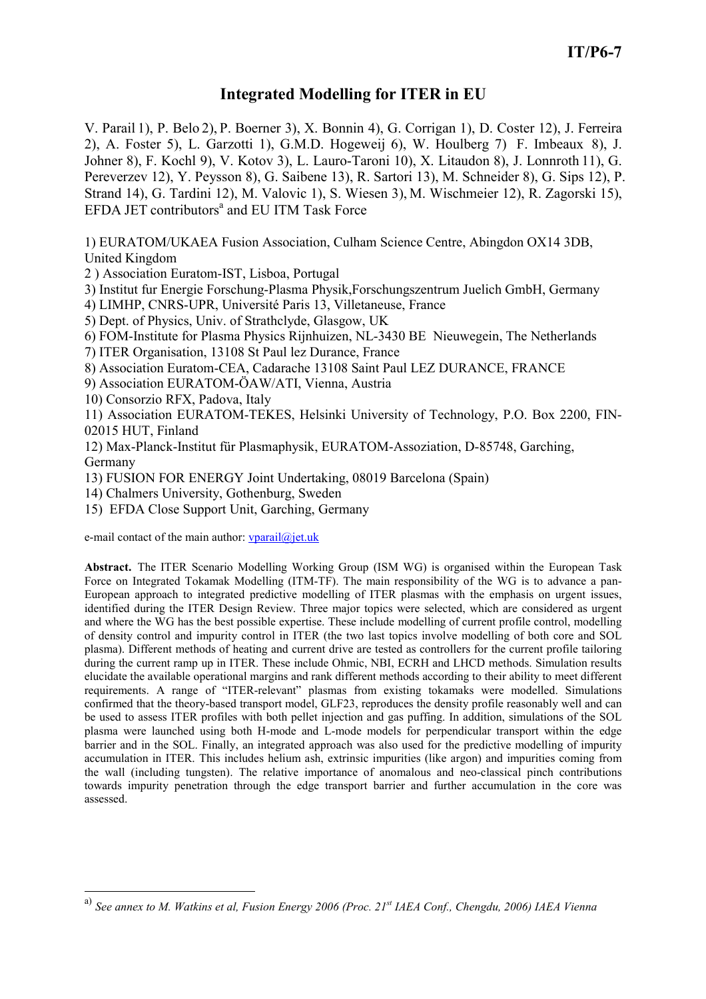# Integrated Modelling for ITER in EU

V. Parail 1), P. Belo 2), P. Boerner 3), X. Bonnin 4), G. Corrigan 1), D. Coster 12), J. Ferreira 2), A. Foster 5), L. Garzotti 1), G.M.D. Hogeweij 6), W. Houlberg 7) F. Imbeaux 8), J. Johner 8), F. Kochl 9), V. Kotov 3), L. Lauro-Taroni 10), X. Litaudon 8), J. Lonnroth 11), G. Pereverzev 12), Y. Peysson 8), G. Saibene 13), R. Sartori 13), M. Schneider 8), G. Sips 12), P. Strand 14), G. Tardini 12), M. Valovic 1), S. Wiesen 3), M. Wischmeier 12), R. Zagorski 15), EFDA JET contributors<sup>a</sup> and EU ITM Task Force

1) EURATOM/UKAEA Fusion Association, Culham Science Centre, Abingdon OX14 3DB, United Kingdom

2 ) Association Euratom-IST, Lisboa, Portugal

3) Institut fur Energie Forschung-Plasma Physik,Forschungszentrum Juelich GmbH, Germany

4) LIMHP, CNRS-UPR, Université Paris 13, Villetaneuse, France

5) Dept. of Physics, Univ. of Strathclyde, Glasgow, UK

6) FOM-Institute for Plasma Physics Rijnhuizen, NL-3430 BE Nieuwegein, The Netherlands

7) ITER Organisation, 13108 St Paul lez Durance, France

8) Association Euratom-CEA, Cadarache 13108 Saint Paul LEZ DURANCE, FRANCE

9) Association EURATOM-ÖAW/ATI, Vienna, Austria

10) Consorzio RFX, Padova, Italy

11) Association EURATOM-TEKES, Helsinki University of Technology, P.O. Box 2200, FIN-02015 HUT, Finland

12) Max-Planck-Institut für Plasmaphysik, EURATOM-Assoziation, D-85748, Garching, Germany

13) FUSION FOR ENERGY Joint Undertaking, 08019 Barcelona (Spain)

14) Chalmers University, Gothenburg, Sweden

15) EFDA Close Support Unit, Garching, Germany

e-mail contact of the main author:  $vparail@jet.uk$ 

 $\overline{a}$ 

Abstract. The ITER Scenario Modelling Working Group (ISM WG) is organised within the European Task Force on Integrated Tokamak Modelling (ITM-TF). The main responsibility of the WG is to advance a pan-European approach to integrated predictive modelling of ITER plasmas with the emphasis on urgent issues, identified during the ITER Design Review. Three major topics were selected, which are considered as urgent and where the WG has the best possible expertise. These include modelling of current profile control, modelling of density control and impurity control in ITER (the two last topics involve modelling of both core and SOL plasma). Different methods of heating and current drive are tested as controllers for the current profile tailoring during the current ramp up in ITER. These include Ohmic, NBI, ECRH and LHCD methods. Simulation results elucidate the available operational margins and rank different methods according to their ability to meet different requirements. A range of "ITER-relevant" plasmas from existing tokamaks were modelled. Simulations confirmed that the theory-based transport model, GLF23, reproduces the density profile reasonably well and can be used to assess ITER profiles with both pellet injection and gas puffing. In addition, simulations of the SOL plasma were launched using both H-mode and L-mode models for perpendicular transport within the edge barrier and in the SOL. Finally, an integrated approach was also used for the predictive modelling of impurity accumulation in ITER. This includes helium ash, extrinsic impurities (like argon) and impurities coming from the wall (including tungsten). The relative importance of anomalous and neo-classical pinch contributions towards impurity penetration through the edge transport barrier and further accumulation in the core was assessed.

a) See annex to M. Watkins et al, Fusion Energy 2006 (Proc. 21<sup>st</sup> IAEA Conf., Chengdu, 2006) IAEA Vienna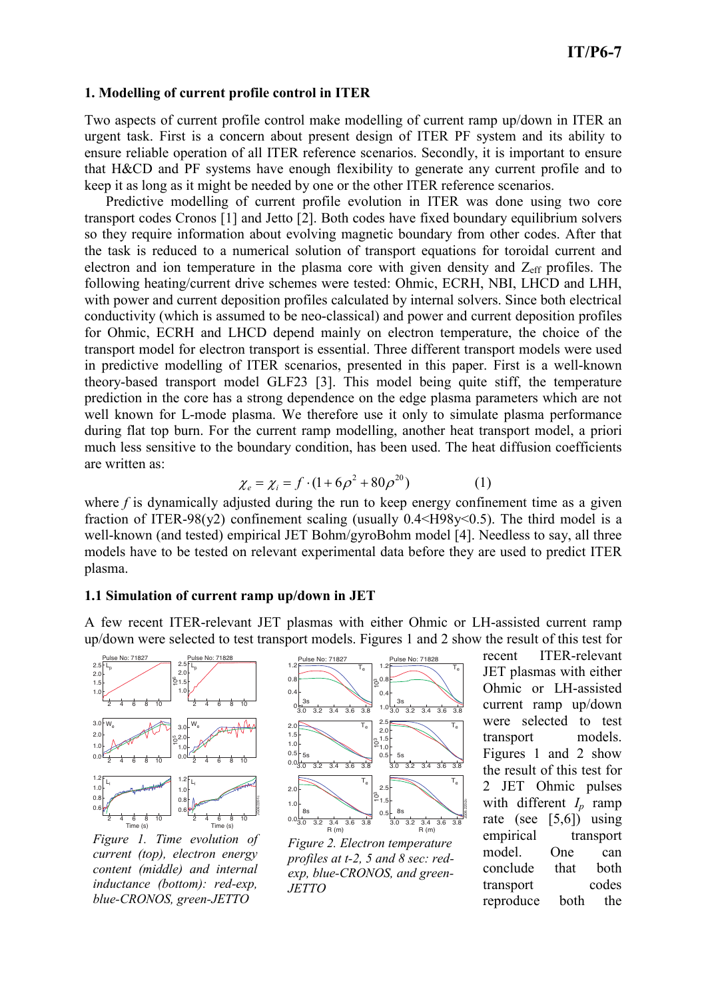#### 1. Modelling of current profile control in ITER

Two aspects of current profile control make modelling of current ramp up/down in ITER an urgent task. First is a concern about present design of ITER PF system and its ability to ensure reliable operation of all ITER reference scenarios. Secondly, it is important to ensure that H&CD and PF systems have enough flexibility to generate any current profile and to keep it as long as it might be needed by one or the other ITER reference scenarios.

Predictive modelling of current profile evolution in ITER was done using two core transport codes Cronos [1] and Jetto [2]. Both codes have fixed boundary equilibrium solvers so they require information about evolving magnetic boundary from other codes. After that the task is reduced to a numerical solution of transport equations for toroidal current and electron and ion temperature in the plasma core with given density and  $Z_{\text{eff}}$  profiles. The following heating/current drive schemes were tested: Ohmic, ECRH, NBI, LHCD and LHH, with power and current deposition profiles calculated by internal solvers. Since both electrical conductivity (which is assumed to be neo-classical) and power and current deposition profiles for Ohmic, ECRH and LHCD depend mainly on electron temperature, the choice of the transport model for electron transport is essential. Three different transport models were used in predictive modelling of ITER scenarios, presented in this paper. First is a well-known theory-based transport model GLF23 [3]. This model being quite stiff, the temperature prediction in the core has a strong dependence on the edge plasma parameters which are not well known for L-mode plasma. We therefore use it only to simulate plasma performance during flat top burn. For the current ramp modelling, another heat transport model, a priori much less sensitive to the boundary condition, has been used. The heat diffusion coefficients are written as:

$$
\chi_e = \chi_i = f \cdot (1 + 6\rho^2 + 80\rho^{20}) \tag{1}
$$

where  $f$  is dynamically adjusted during the run to keep energy confinement time as a given fraction of ITER-98(y2) confinement scaling (usually  $0.4 \leq H98y \leq 0.5$ ). The third model is a well-known (and tested) empirical JET Bohm/gyroBohm model [4]. Needless to say, all three models have to be tested on relevant experimental data before they are used to predict ITER plasma.

# 1.1 Simulation of current ramp up/down in JET

A few recent ITER-relevant JET plasmas with either Ohmic or LH-assisted current ramp up/down were selected to test transport models. Figures 1 and 2 show the result of this test for



Figure 1. Time evolution of current (top), electron energy content (middle) and internal inductance (bottom): red-exp, blue-CRONOS, green-JETTO



Figure 2. Electron temperature profiles at t-2, 5 and 8 sec: redexp, blue-CRONOS, and green-**JETTO** 

recent ITER-relevant JET plasmas with either Ohmic or LH-assisted current ramp up/down were selected to test transport models. Figures 1 and 2 show the result of this test for 2 JET Ohmic pulses with different  $I_p$  ramp rate (see [5,6]) using empirical transport model. One can conclude that both transport codes reproduce both the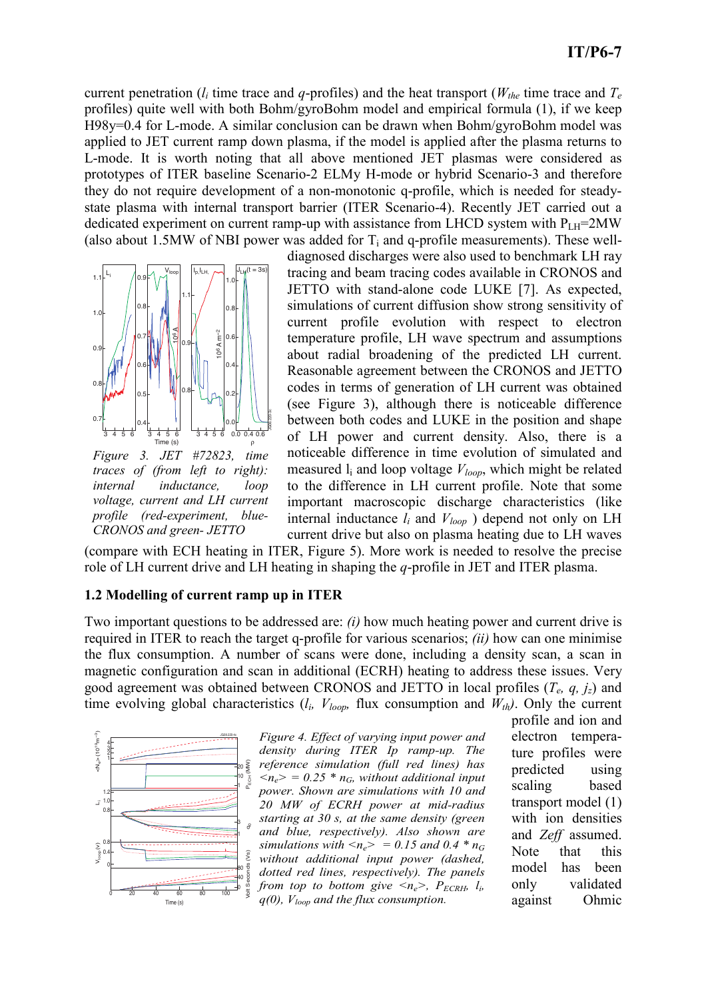current penetration ( $l_i$  time trace and q-profiles) and the heat transport ( $W_{the}$  time trace and  $T_e$ profiles) quite well with both Bohm/gyroBohm model and empirical formula (1), if we keep H98y=0.4 for L-mode. A similar conclusion can be drawn when Bohm/gyroBohm model was applied to JET current ramp down plasma, if the model is applied after the plasma returns to L-mode. It is worth noting that all above mentioned JET plasmas were considered as prototypes of ITER baseline Scenario-2 ELMy H-mode or hybrid Scenario-3 and therefore they do not require development of a non-monotonic q-profile, which is needed for steadystate plasma with internal transport barrier (ITER Scenario-4). Recently JET carried out a dedicated experiment on current ramp-up with assistance from LHCD system with  $P_{LH}$ =2MW (also about 1.5MW of NBI power was added for  $T_i$  and q-profile measurements). These well-



Figure 3. JET #72823, time traces of (from left to right): internal inductance, loop voltage, current and LH current profile (red-experiment, blue-CRONOS and green- JETTO

diagnosed discharges were also used to benchmark LH ray tracing and beam tracing codes available in CRONOS and JETTO with stand-alone code LUKE [7]. As expected, simulations of current diffusion show strong sensitivity of current profile evolution with respect to electron temperature profile, LH wave spectrum and assumptions about radial broadening of the predicted LH current. Reasonable agreement between the CRONOS and JETTO codes in terms of generation of LH current was obtained (see Figure 3), although there is noticeable difference between both codes and LUKE in the position and shape of LH power and current density. Also, there is a noticeable difference in time evolution of simulated and measured  $l_i$  and loop voltage  $V_{loop}$ , which might be related to the difference in LH current profile. Note that some important macroscopic discharge characteristics (like internal inductance  $l_i$  and  $V_{loop}$  ) depend not only on LH current drive but also on plasma heating due to LH waves

(compare with ECH heating in ITER, Figure 5). More work is needed to resolve the precise role of LH current drive and LH heating in shaping the q-profile in JET and ITER plasma.

# 1.2 Modelling of current ramp up in ITER

Two important questions to be addressed are: (i) how much heating power and current drive is required in ITER to reach the target q-profile for various scenarios;  $(ii)$  how can one minimise the flux consumption. A number of scans were done, including a density scan, a scan in magnetic configuration and scan in additional (ECRH) heating to address these issues. Very good agreement was obtained between CRONOS and JETTO in local profiles  $(T_e, q, j_z)$  and time evolving global characteristics  $(l_i, V_{loop},$  flux consumption and  $W_{th}$ ). Only the current



Figure 4. Effect of varying input power and density during ITER Ip ramp-up. The reference simulation (full red lines) has  $\langle n_e \rangle = 0.25 * n_G$ , without additional input power. Shown are simulations with 10 and 20 MW of ECRH power at mid-radius starting at 30 s, at the same density (green and blue, respectively). Also shown are simulations with  $\langle n_e \rangle = 0.15$  and 0.4  $*$  n<sub>G</sub> without additional input power (dashed, dotted red lines, respectively). The panels from top to bottom give  $\langle n_e \rangle$ ,  $P_{ECRH}$ ,  $l_i$ ,  $q(0)$ ,  $V_{loop}$  and the flux consumption.

profile and ion and electron temperature profiles were predicted using scaling based transport model (1) with ion densities and Zeff assumed. Note that this model has been only validated against Ohmic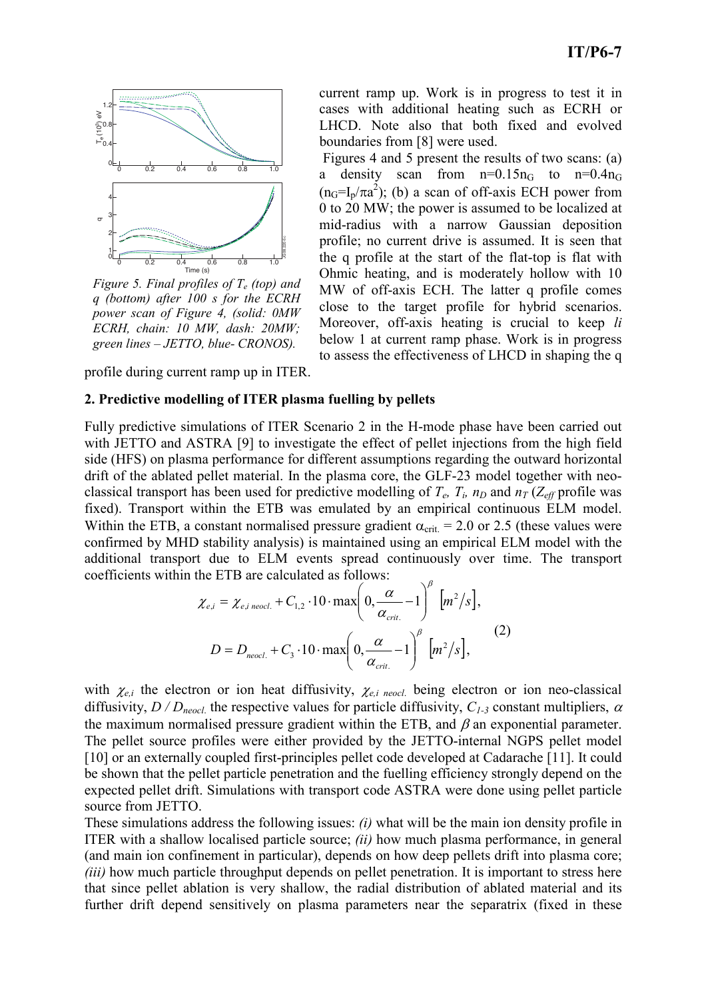

Figure 5. Final profiles of  $T_e$  (top) and q (bottom) after 100 s for the ECRH power scan of Figure 4, (solid: 0MW ECRH, chain: 10 MW, dash: 20MW; green lines – JETTO, blue- CRONOS).

profile during current ramp up in ITER.

#### 2. Predictive modelling of ITER plasma fuelling by pellets

current ramp up. Work is in progress to test it in cases with additional heating such as ECRH or LHCD. Note also that both fixed and evolved boundaries from [8] were used.

 Figures 4 and 5 present the results of two scans: (a) a density scan from  $n=0.15n<sub>G</sub>$  to  $n=0.4n<sub>G</sub>$  $(n_G=I_p/\pi a^2)$ ; (b) a scan of off-axis ECH power from 0 to 20 MW; the power is assumed to be localized at mid-radius with a narrow Gaussian deposition profile; no current drive is assumed. It is seen that the q profile at the start of the flat-top is flat with Ohmic heating, and is moderately hollow with 10 MW of off-axis ECH. The latter q profile comes close to the target profile for hybrid scenarios. Moreover, off-axis heating is crucial to keep *li* below 1 at current ramp phase. Work is in progress to assess the effectiveness of LHCD in shaping the q

Fully predictive simulations of ITER Scenario 2 in the H-mode phase have been carried out with JETTO and ASTRA [9] to investigate the effect of pellet injections from the high field side (HFS) on plasma performance for different assumptions regarding the outward horizontal drift of the ablated pellet material. In the plasma core, the GLF-23 model together with neoclassical transport has been used for predictive modelling of  $T_e$ ,  $T_i$ ,  $n_D$  and  $n_T$  ( $Z_{\text{eff}}$  profile was fixed). Transport within the ETB was emulated by an empirical continuous ELM model. Within the ETB, a constant normalised pressure gradient  $\alpha_{crit} = 2.0$  or 2.5 (these values were confirmed by MHD stability analysis) is maintained using an empirical ELM model with the additional transport due to ELM events spread continuously over time. The transport coefficients within the ETB are calculated as follows:

$$
\chi_{e,i} = \chi_{e,i \text{ neocl.}} + C_{1,2} \cdot 10 \cdot \max\left(0, \frac{\alpha}{\alpha_{\text{crit.}}}-1\right)^{\beta} \left[m^2/s\right],
$$
  

$$
D = D_{\text{neocl.}} + C_3 \cdot 10 \cdot \max\left(0, \frac{\alpha}{\alpha_{\text{crit.}}}-1\right)^{\beta} \left[m^2/s\right],
$$
 (2)

with  $\chi_{e,i}$  the electron or ion heat diffusivity,  $\chi_{e,i \text{ need}}$  being electron or ion neo-classical diffusivity,  $D/D_{\text{neocl}}$  the respective values for particle diffusivity,  $C_{I-3}$  constant multipliers,  $\alpha$ the maximum normalised pressure gradient within the ETB, and  $\beta$  an exponential parameter. The pellet source profiles were either provided by the JETTO-internal NGPS pellet model [10] or an externally coupled first-principles pellet code developed at Cadarache [11]. It could be shown that the pellet particle penetration and the fuelling efficiency strongly depend on the expected pellet drift. Simulations with transport code ASTRA were done using pellet particle source from JETTO.

These simulations address the following issues: (i) what will be the main ion density profile in ITER with a shallow localised particle source;  $(ii)$  how much plasma performance, in general (and main ion confinement in particular), depends on how deep pellets drift into plasma core; (iii) how much particle throughput depends on pellet penetration. It is important to stress here that since pellet ablation is very shallow, the radial distribution of ablated material and its further drift depend sensitively on plasma parameters near the separatrix (fixed in these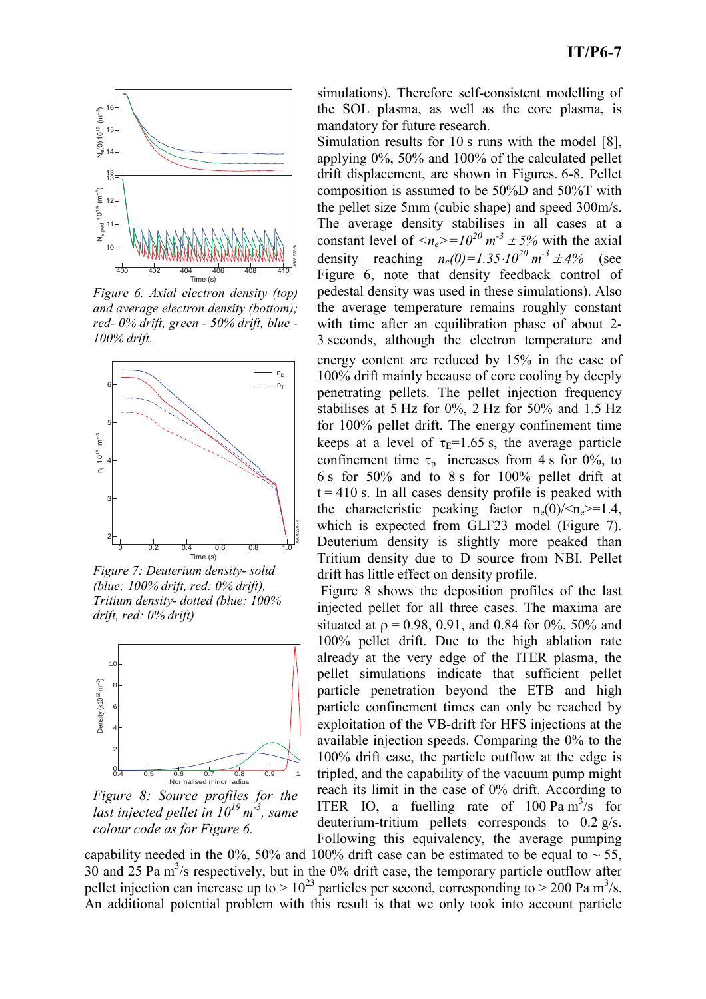

Figure 6. Axial electron density (top) and average electron density (bottom); red- 0% drift, green - 50% drift, blue - 100% drift.



Figure 7: Deuterium density- solid (blue: 100% drift, red: 0% drift), Tritium density- dotted (blue: 100% drift, red: 0% drift)



Figure 8: Source profiles for the last injected pellet in  $10^{19}$  m<sup>-3</sup>, same colour code as for Figure 6.

simulations). Therefore self-consistent modelling of the SOL plasma, as well as the core plasma, is mandatory for future research.

Simulation results for 10 s runs with the model [8], applying 0%, 50% and 100% of the calculated pellet drift displacement, are shown in Figures. 6-8. Pellet composition is assumed to be 50%D and 50%T with the pellet size 5mm (cubic shape) and speed 300m/s. The average density stabilises in all cases at a constant level of  $\langle n_e \rangle = 10^{20} \text{ m}^3 \pm 5\%$  with the axial density reaching  $n_e(0) = 1.35 \cdot 10^{20} \text{ m}^{-3} \pm 4\%$  (see Figure 6, note that density feedback control of pedestal density was used in these simulations). Also the average temperature remains roughly constant with time after an equilibration phase of about 2- 3 seconds, although the electron temperature and energy content are reduced by 15% in the case of 100% drift mainly because of core cooling by deeply penetrating pellets. The pellet injection frequency stabilises at 5 Hz for  $0\%$ , 2 Hz for 50% and 1.5 Hz for 100% pellet drift. The energy confinement time keeps at a level of  $\tau_E=1.65$  s, the average particle confinement time  $\tau_p$  increases from 4 s for 0%, to 6 s for 50% and to 8 s for 100% pellet drift at  $t = 410$  s. In all cases density profile is peaked with the characteristic peaking factor  $n_e(0)/\langle n_e \rangle = 1.4$ , which is expected from GLF23 model (Figure 7). Deuterium density is slightly more peaked than Tritium density due to D source from NBI. Pellet drift has little effect on density profile.

 Figure 8 shows the deposition profiles of the last injected pellet for all three cases. The maxima are situated at  $p = 0.98, 0.91,$  and 0.84 for 0%, 50% and 100% pellet drift. Due to the high ablation rate already at the very edge of the ITER plasma, the pellet simulations indicate that sufficient pellet particle penetration beyond the ETB and high particle confinement times can only be reached by exploitation of the ∇B-drift for HFS injections at the available injection speeds. Comparing the 0% to the 100% drift case, the particle outflow at the edge is tripled, and the capability of the vacuum pump might reach its limit in the case of 0% drift. According to ITER IO, a fuelling rate of  $100 \text{ Pa m}^3/\text{s}$  for deuterium-tritium pellets corresponds to 0.2 g/s. Following this equivalency, the average pumping

capability needed in the 0%, 50% and 100% drift case can be estimated to be equal to  $\sim$  55, 30 and 25 Pa  $m^3$ /s respectively, but in the 0% drift case, the temporary particle outflow after pellet injection can increase up to  $> 10^{23}$  particles per second, corresponding to  $> 200$  Pa m<sup>3</sup>/s. An additional potential problem with this result is that we only took into account particle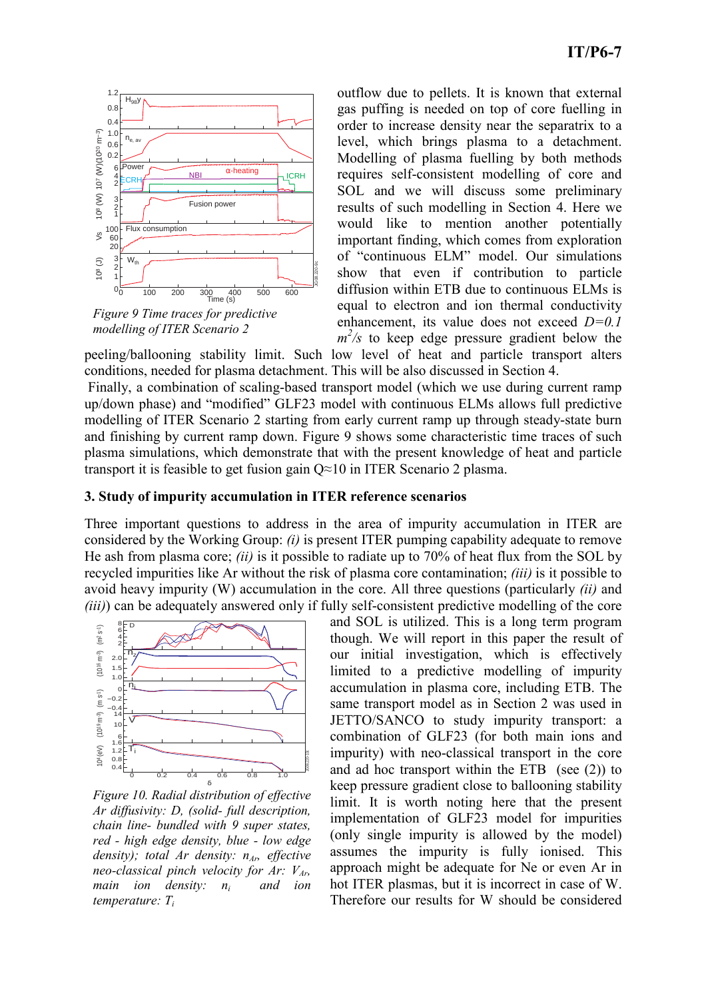

Figure 9 Time traces for predictive modelling of ITER Scenario 2

outflow due to pellets. It is known that external gas puffing is needed on top of core fuelling in order to increase density near the separatrix to a level, which brings plasma to a detachment. Modelling of plasma fuelling by both methods requires self-consistent modelling of core and SOL and we will discuss some preliminary results of such modelling in Section 4. Here we would like to mention another potentially important finding, which comes from exploration of "continuous ELM" model. Our simulations show that even if contribution to particle diffusion within ETB due to continuous ELMs is equal to electron and ion thermal conductivity enhancement, its value does not exceed  $D=0.1$  $m^2$ /s to keep edge pressure gradient below the

peeling/ballooning stability limit. Such low level of heat and particle transport alters conditions, needed for plasma detachment. This will be also discussed in Section 4.

 Finally, a combination of scaling-based transport model (which we use during current ramp up/down phase) and "modified" GLF23 model with continuous ELMs allows full predictive modelling of ITER Scenario 2 starting from early current ramp up through steady-state burn and finishing by current ramp down. Figure 9 shows some characteristic time traces of such plasma simulations, which demonstrate that with the present knowledge of heat and particle transport it is feasible to get fusion gain  $Q \approx 10$  in ITER Scenario 2 plasma.

# 3. Study of impurity accumulation in ITER reference scenarios

Three important questions to address in the area of impurity accumulation in ITER are considered by the Working Group: (i) is present ITER pumping capability adequate to remove He ash from plasma core; *(ii)* is it possible to radiate up to 70% of heat flux from the SOL by recycled impurities like Ar without the risk of plasma core contamination; *(iii)* is it possible to avoid heavy impurity  $(W)$  accumulation in the core. All three questions (particularly *(ii)* and (iii)) can be adequately answered only if fully self-consistent predictive modelling of the core



Figure 10. Radial distribution of effective Ar diffusivity: D, (solid- full description, chain line- bundled with 9 super states, red - high edge density, blue - low edge density); total Ar density:  $n_{Ar}$ , effective neo-classical pinch velocity for Ar:  $V_{Ar}$ , main ion density:  $n_i$  and ion temperature:  $T_i$ 

and SOL is utilized. This is a long term program though. We will report in this paper the result of our initial investigation, which is effectively limited to a predictive modelling of impurity accumulation in plasma core, including ETB. The same transport model as in Section 2 was used in JETTO/SANCO to study impurity transport: a combination of GLF23 (for both main ions and impurity) with neo-classical transport in the core and ad hoc transport within the ETB (see (2)) to keep pressure gradient close to ballooning stability limit. It is worth noting here that the present implementation of GLF23 model for impurities (only single impurity is allowed by the model) assumes the impurity is fully ionised. This approach might be adequate for Ne or even Ar in hot ITER plasmas, but it is incorrect in case of W. Therefore our results for W should be considered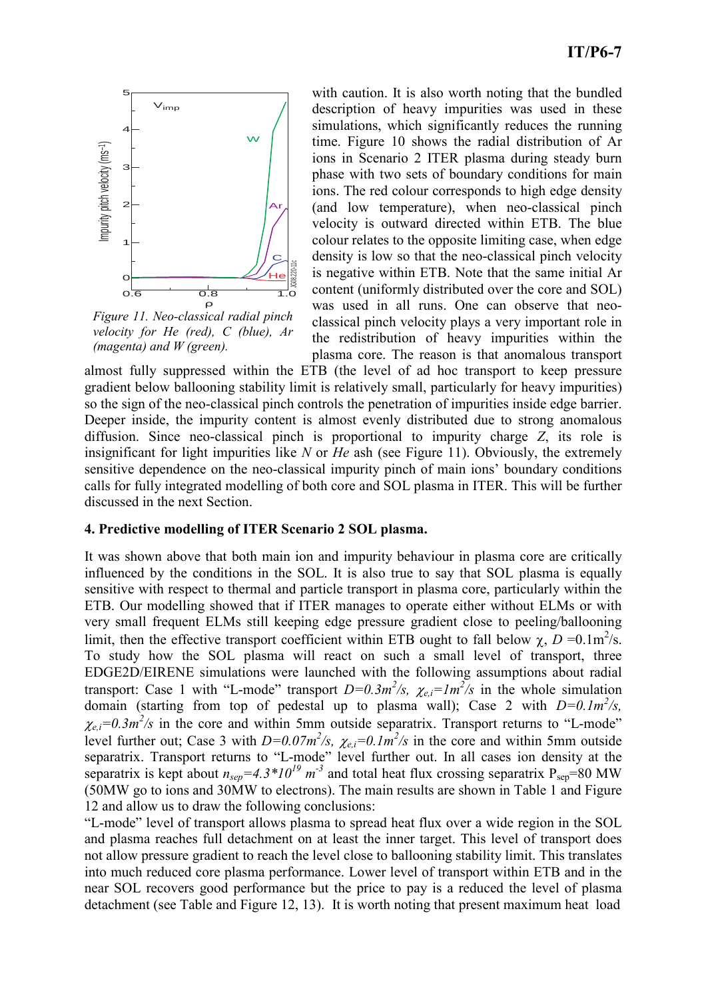

Figure 11. Neo-classical radial pinch velocity for He (red), C (blue), Ar (magenta) and W (green).

with caution. It is also worth noting that the bundled description of heavy impurities was used in these simulations, which significantly reduces the running time. Figure 10 shows the radial distribution of Ar ions in Scenario 2 ITER plasma during steady burn phase with two sets of boundary conditions for main ions. The red colour corresponds to high edge density (and low temperature), when neo-classical pinch velocity is outward directed within ETB. The blue colour relates to the opposite limiting case, when edge density is low so that the neo-classical pinch velocity is negative within ETB. Note that the same initial Ar content (uniformly distributed over the core and SOL) was used in all runs. One can observe that neoclassical pinch velocity plays a very important role in the redistribution of heavy impurities within the plasma core. The reason is that anomalous transport

almost fully suppressed within the ETB (the level of ad hoc transport to keep pressure gradient below ballooning stability limit is relatively small, particularly for heavy impurities) so the sign of the neo-classical pinch controls the penetration of impurities inside edge barrier. Deeper inside, the impurity content is almost evenly distributed due to strong anomalous diffusion. Since neo-classical pinch is proportional to impurity charge  $Z$ , its role is insignificant for light impurities like  $N$  or  $He$  ash (see Figure 11). Obviously, the extremely sensitive dependence on the neo-classical impurity pinch of main ions' boundary conditions calls for fully integrated modelling of both core and SOL plasma in ITER. This will be further discussed in the next Section.

# 4. Predictive modelling of ITER Scenario 2 SOL plasma.

It was shown above that both main ion and impurity behaviour in plasma core are critically influenced by the conditions in the SOL. It is also true to say that SOL plasma is equally sensitive with respect to thermal and particle transport in plasma core, particularly within the ETB. Our modelling showed that if ITER manages to operate either without ELMs or with very small frequent ELMs still keeping edge pressure gradient close to peeling/ballooning limit, then the effective transport coefficient within ETB ought to fall below  $\chi$ , D =0.1m<sup>2</sup>/s. To study how the SOL plasma will react on such a small level of transport, three EDGE2D/EIRENE simulations were launched with the following assumptions about radial transport: Case 1 with "L-mode" transport  $D=0.3m^2/s$ ,  $\chi_{e,i}=Im^2/s$  in the whole simulation domain (starting from top of pedestal up to plasma wall); Case 2 with  $D=0.1m^2/s$ ,  $\chi_{e,i} = 0.3 \frac{m^2}{s}$  in the core and within 5mm outside separatrix. Transport returns to "L-mode" level further out; Case 3 with  $D=0.07m^2/s$ ,  $\chi_{e,i}=0.1m^2/s$  in the core and within 5mm outside separatrix. Transport returns to "L-mode" level further out. In all cases ion density at the separatrix is kept about  $n_{sep} = 4.3 * 10^{19} m^{-3}$  and total heat flux crossing separatrix  $P_{sep} = 80$  MW (50MW go to ions and 30MW to electrons). The main results are shown in Table 1 and Figure 12 and allow us to draw the following conclusions:

"L-mode" level of transport allows plasma to spread heat flux over a wide region in the SOL and plasma reaches full detachment on at least the inner target. This level of transport does not allow pressure gradient to reach the level close to ballooning stability limit. This translates into much reduced core plasma performance. Lower level of transport within ETB and in the near SOL recovers good performance but the price to pay is a reduced the level of plasma detachment (see Table and Figure 12, 13). It is worth noting that present maximum heat load